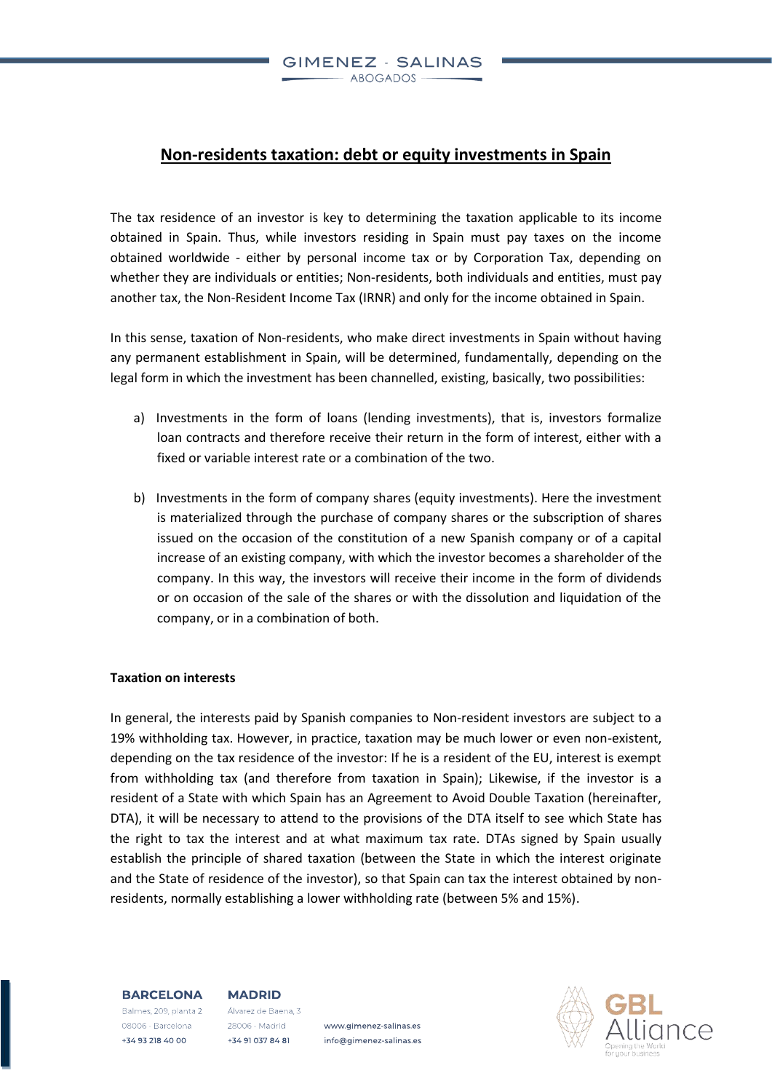# **Non-residents taxation: debt or equity investments in Spain**

The tax residence of an investor is key to determining the taxation applicable to its income obtained in Spain. Thus, while investors residing in Spain must pay taxes on the income obtained worldwide - either by personal income tax or by Corporation Tax, depending on whether they are individuals or entities; Non-residents, both individuals and entities, must pay another tax, the Non-Resident Income Tax (IRNR) and only for the income obtained in Spain.

In this sense, taxation of Non-residents, who make direct investments in Spain without having any permanent establishment in Spain, will be determined, fundamentally, depending on the legal form in which the investment has been channelled, existing, basically, two possibilities:

- a) Investments in the form of loans (lending investments), that is, investors formalize loan contracts and therefore receive their return in the form of interest, either with a fixed or variable interest rate or a combination of the two.
- b) Investments in the form of company shares (equity investments). Here the investment is materialized through the purchase of company shares or the subscription of shares issued on the occasion of the constitution of a new Spanish company or of a capital increase of an existing company, with which the investor becomes a shareholder of the company. In this way, the investors will receive their income in the form of dividends or on occasion of the sale of the shares or with the dissolution and liquidation of the company, or in a combination of both.

## **Taxation on interests**

In general, the interests paid by Spanish companies to Non-resident investors are subject to a 19% withholding tax. However, in practice, taxation may be much lower or even non-existent, depending on the tax residence of the investor: If he is a resident of the EU, interest is exempt from withholding tax (and therefore from taxation in Spain); Likewise, if the investor is a resident of a State with which Spain has an Agreement to Avoid Double Taxation (hereinafter, DTA), it will be necessary to attend to the provisions of the DTA itself to see which State has the right to tax the interest and at what maximum tax rate. DTAs signed by Spain usually establish the principle of shared taxation (between the State in which the interest originate and the State of residence of the investor), so that Spain can tax the interest obtained by nonresidents, normally establishing a lower withholding rate (between 5% and 15%).

#### **BARCELONA**

**MADRID** 

Balmes, 209, planta 2 08006 - Barcelona +34 93 218 40 00

Álvarez de Baena, 3 28006 - Madrid +34 91 037 84 81

www.gimenez-salinas.es info@gimenez-salinas.es